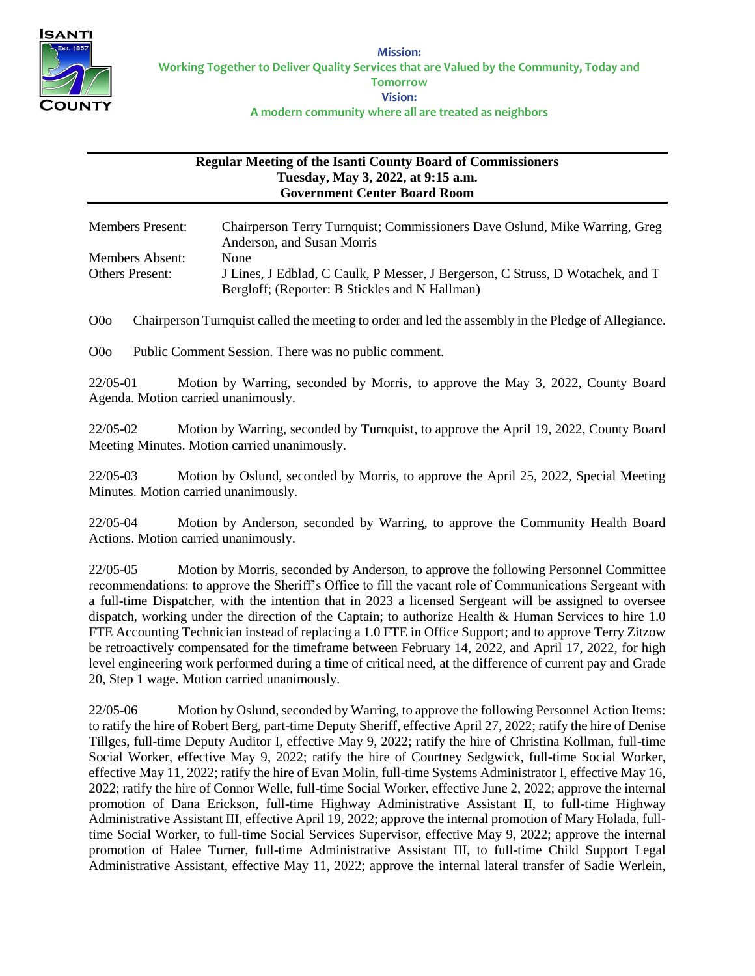

## **Regular Meeting of the Isanti County Board of Commissioners Tuesday, May 3, 2022, at 9:15 a.m. Government Center Board Room**

| <b>Members Present:</b> | Chairperson Terry Turnquist; Commissioners Dave Oslund, Mike Warring, Greg<br>Anderson, and Susan Morris |
|-------------------------|----------------------------------------------------------------------------------------------------------|
| Members Absent:         | <b>None</b>                                                                                              |
| <b>Others Present:</b>  | J Lines, J Edblad, C Caulk, P Messer, J Bergerson, C Struss, D Wotachek, and T                           |
|                         | Bergloff; (Reporter: B Stickles and N Hallman)                                                           |

O0o Chairperson Turnquist called the meeting to order and led the assembly in the Pledge of Allegiance.

O0o Public Comment Session. There was no public comment.

22/05-01 Motion by Warring, seconded by Morris, to approve the May 3, 2022, County Board Agenda. Motion carried unanimously.

22/05-02 Motion by Warring, seconded by Turnquist, to approve the April 19, 2022, County Board Meeting Minutes. Motion carried unanimously.

22/05-03 Motion by Oslund, seconded by Morris, to approve the April 25, 2022, Special Meeting Minutes. Motion carried unanimously.

22/05-04 Motion by Anderson, seconded by Warring, to approve the Community Health Board Actions. Motion carried unanimously.

22/05-05 Motion by Morris, seconded by Anderson, to approve the following Personnel Committee recommendations: to approve the Sheriff's Office to fill the vacant role of Communications Sergeant with a full-time Dispatcher, with the intention that in 2023 a licensed Sergeant will be assigned to oversee dispatch, working under the direction of the Captain; to authorize Health & Human Services to hire 1.0 FTE Accounting Technician instead of replacing a 1.0 FTE in Office Support; and to approve Terry Zitzow be retroactively compensated for the timeframe between February 14, 2022, and April 17, 2022, for high level engineering work performed during a time of critical need, at the difference of current pay and Grade 20, Step 1 wage. Motion carried unanimously.

22/05-06 Motion by Oslund, seconded by Warring, to approve the following Personnel Action Items: to ratify the hire of Robert Berg, part-time Deputy Sheriff, effective April 27, 2022; ratify the hire of Denise Tillges, full-time Deputy Auditor I, effective May 9, 2022; ratify the hire of Christina Kollman, full-time Social Worker, effective May 9, 2022; ratify the hire of Courtney Sedgwick, full-time Social Worker, effective May 11, 2022; ratify the hire of Evan Molin, full-time Systems Administrator I, effective May 16, 2022; ratify the hire of Connor Welle, full-time Social Worker, effective June 2, 2022; approve the internal promotion of Dana Erickson, full-time Highway Administrative Assistant II, to full-time Highway Administrative Assistant III, effective April 19, 2022; approve the internal promotion of Mary Holada, fulltime Social Worker, to full-time Social Services Supervisor, effective May 9, 2022; approve the internal promotion of Halee Turner, full-time Administrative Assistant III, to full-time Child Support Legal Administrative Assistant, effective May 11, 2022; approve the internal lateral transfer of Sadie Werlein,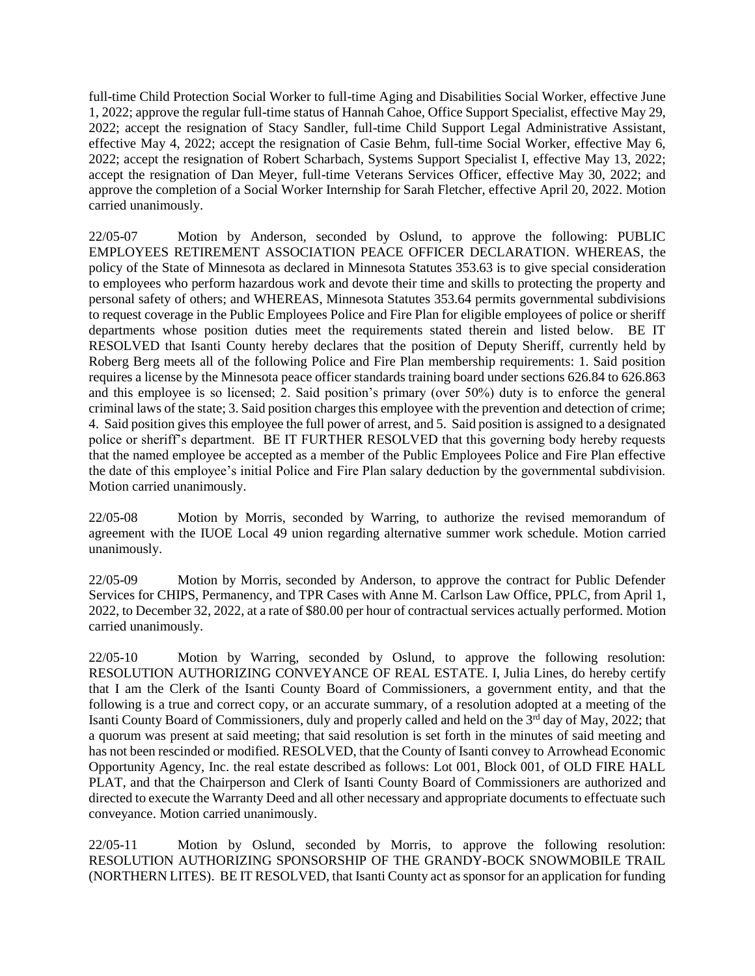full-time Child Protection Social Worker to full-time Aging and Disabilities Social Worker, effective June 1, 2022; approve the regular full-time status of Hannah Cahoe, Office Support Specialist, effective May 29, 2022; accept the resignation of Stacy Sandler, full-time Child Support Legal Administrative Assistant, effective May 4, 2022; accept the resignation of Casie Behm, full-time Social Worker, effective May 6, 2022; accept the resignation of Robert Scharbach, Systems Support Specialist I, effective May 13, 2022; accept the resignation of Dan Meyer, full-time Veterans Services Officer, effective May 30, 2022; and approve the completion of a Social Worker Internship for Sarah Fletcher, effective April 20, 2022. Motion carried unanimously.

22/05-07 Motion by Anderson, seconded by Oslund, to approve the following: PUBLIC EMPLOYEES RETIREMENT ASSOCIATION PEACE OFFICER DECLARATION. WHEREAS, the policy of the State of Minnesota as declared in Minnesota Statutes 353.63 is to give special consideration to employees who perform hazardous work and devote their time and skills to protecting the property and personal safety of others; and WHEREAS, Minnesota Statutes 353.64 permits governmental subdivisions to request coverage in the Public Employees Police and Fire Plan for eligible employees of police or sheriff departments whose position duties meet the requirements stated therein and listed below. BE IT RESOLVED that Isanti County hereby declares that the position of Deputy Sheriff, currently held by Roberg Berg meets all of the following Police and Fire Plan membership requirements: 1. Said position requires a license by the Minnesota peace officer standards training board under sections 626.84 to 626.863 and this employee is so licensed; 2. Said position's primary (over 50%) duty is to enforce the general criminal laws of the state; 3. Said position charges this employee with the prevention and detection of crime; 4. Said position gives this employee the full power of arrest, and 5. Said position is assigned to a designated police or sheriff's department. BE IT FURTHER RESOLVED that this governing body hereby requests that the named employee be accepted as a member of the Public Employees Police and Fire Plan effective the date of this employee's initial Police and Fire Plan salary deduction by the governmental subdivision. Motion carried unanimously.

22/05-08 Motion by Morris, seconded by Warring, to authorize the revised memorandum of agreement with the IUOE Local 49 union regarding alternative summer work schedule. Motion carried unanimously.

22/05-09 Motion by Morris, seconded by Anderson, to approve the contract for Public Defender Services for CHIPS, Permanency, and TPR Cases with Anne M. Carlson Law Office, PPLC, from April 1, 2022, to December 32, 2022, at a rate of \$80.00 per hour of contractual services actually performed. Motion carried unanimously.

22/05-10 Motion by Warring, seconded by Oslund, to approve the following resolution: RESOLUTION AUTHORIZING CONVEYANCE OF REAL ESTATE. I, Julia Lines, do hereby certify that I am the Clerk of the Isanti County Board of Commissioners, a government entity, and that the following is a true and correct copy, or an accurate summary, of a resolution adopted at a meeting of the Isanti County Board of Commissioners, duly and properly called and held on the  $3<sup>rd</sup>$  day of May, 2022; that a quorum was present at said meeting; that said resolution is set forth in the minutes of said meeting and has not been rescinded or modified. RESOLVED, that the County of Isanti convey to Arrowhead Economic Opportunity Agency, Inc. the real estate described as follows: Lot 001, Block 001, of OLD FIRE HALL PLAT, and that the Chairperson and Clerk of Isanti County Board of Commissioners are authorized and directed to execute the Warranty Deed and all other necessary and appropriate documents to effectuate such conveyance. Motion carried unanimously.

22/05-11 Motion by Oslund, seconded by Morris, to approve the following resolution: RESOLUTION AUTHORIZING SPONSORSHIP OF THE GRANDY-BOCK SNOWMOBILE TRAIL (NORTHERN LITES). BE IT RESOLVED, that Isanti County act as sponsor for an application for funding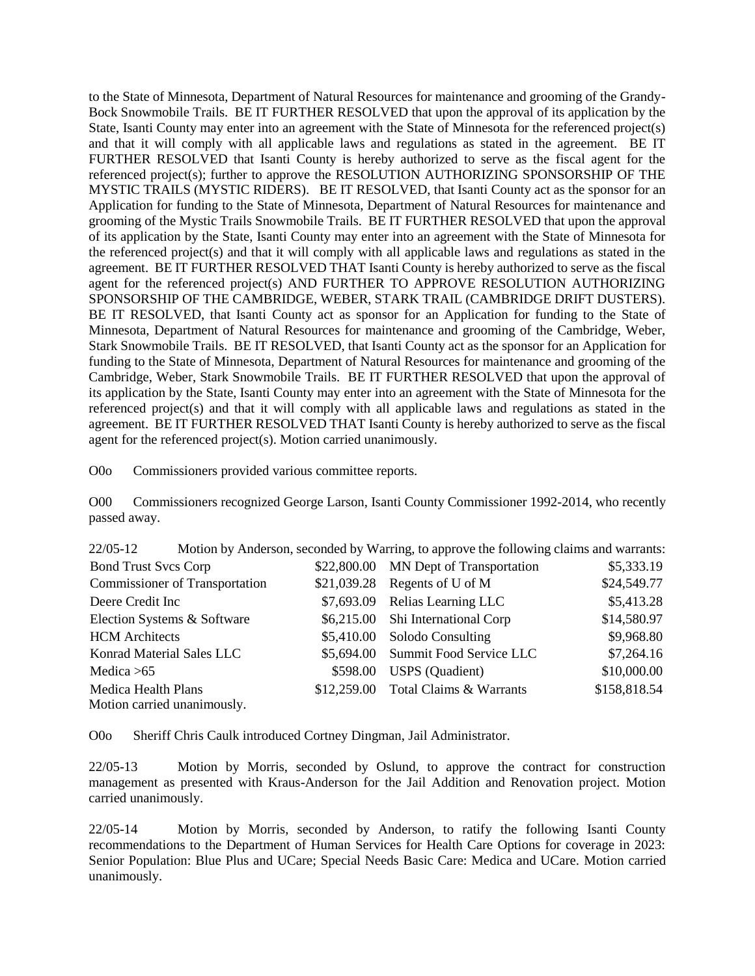to the State of Minnesota, Department of Natural Resources for maintenance and grooming of the Grandy-Bock Snowmobile Trails. BE IT FURTHER RESOLVED that upon the approval of its application by the State, Isanti County may enter into an agreement with the State of Minnesota for the referenced project(s) and that it will comply with all applicable laws and regulations as stated in the agreement. BE IT FURTHER RESOLVED that Isanti County is hereby authorized to serve as the fiscal agent for the referenced project(s); further to approve the RESOLUTION AUTHORIZING SPONSORSHIP OF THE MYSTIC TRAILS (MYSTIC RIDERS). BE IT RESOLVED, that Isanti County act as the sponsor for an Application for funding to the State of Minnesota, Department of Natural Resources for maintenance and grooming of the Mystic Trails Snowmobile Trails. BE IT FURTHER RESOLVED that upon the approval of its application by the State, Isanti County may enter into an agreement with the State of Minnesota for the referenced project(s) and that it will comply with all applicable laws and regulations as stated in the agreement. BE IT FURTHER RESOLVED THAT Isanti County is hereby authorized to serve as the fiscal agent for the referenced project(s) AND FURTHER TO APPROVE RESOLUTION AUTHORIZING SPONSORSHIP OF THE CAMBRIDGE, WEBER, STARK TRAIL (CAMBRIDGE DRIFT DUSTERS). BE IT RESOLVED, that Isanti County act as sponsor for an Application for funding to the State of Minnesota, Department of Natural Resources for maintenance and grooming of the Cambridge, Weber, Stark Snowmobile Trails. BE IT RESOLVED, that Isanti County act as the sponsor for an Application for funding to the State of Minnesota, Department of Natural Resources for maintenance and grooming of the Cambridge, Weber, Stark Snowmobile Trails. BE IT FURTHER RESOLVED that upon the approval of its application by the State, Isanti County may enter into an agreement with the State of Minnesota for the referenced project(s) and that it will comply with all applicable laws and regulations as stated in the agreement. BE IT FURTHER RESOLVED THAT Isanti County is hereby authorized to serve as the fiscal agent for the referenced project(s). Motion carried unanimously.

O0o Commissioners provided various committee reports.

O00 Commissioners recognized George Larson, Isanti County Commissioner 1992-2014, who recently passed away.

22/05-12 Motion by Anderson, seconded by Warring, to approve the following claims and warrants:

| <b>Bond Trust Svcs Corp</b>           |          | \$22,800.00 MN Dept of Transportation | \$5,333.19   |
|---------------------------------------|----------|---------------------------------------|--------------|
| <b>Commissioner of Transportation</b> |          | $$21,039.28$ Regents of U of M        | \$24,549.77  |
| Deere Credit Inc                      |          | \$7,693.09 Relias Learning LLC        | \$5,413.28   |
| Election Systems & Software           |          | \$6,215.00 Shi International Corp     | \$14,580.97  |
| <b>HCM</b> Architects                 |          | \$5,410.00 Solodo Consulting          | \$9,968.80   |
| Konrad Material Sales LLC             |          | \$5,694.00 Summit Food Service LLC    | \$7,264.16   |
| Medica $>65$                          | \$598.00 | <b>USPS</b> (Quadient)                | \$10,000.00  |
| Medica Health Plans                   |          | \$12,259.00 Total Claims & Warrants   | \$158,818.54 |
| Motion carried unanimously.           |          |                                       |              |

O0o Sheriff Chris Caulk introduced Cortney Dingman, Jail Administrator.

22/05-13 Motion by Morris, seconded by Oslund, to approve the contract for construction management as presented with Kraus-Anderson for the Jail Addition and Renovation project. Motion carried unanimously.

22/05-14 Motion by Morris, seconded by Anderson, to ratify the following Isanti County recommendations to the Department of Human Services for Health Care Options for coverage in 2023: Senior Population: Blue Plus and UCare; Special Needs Basic Care: Medica and UCare. Motion carried unanimously.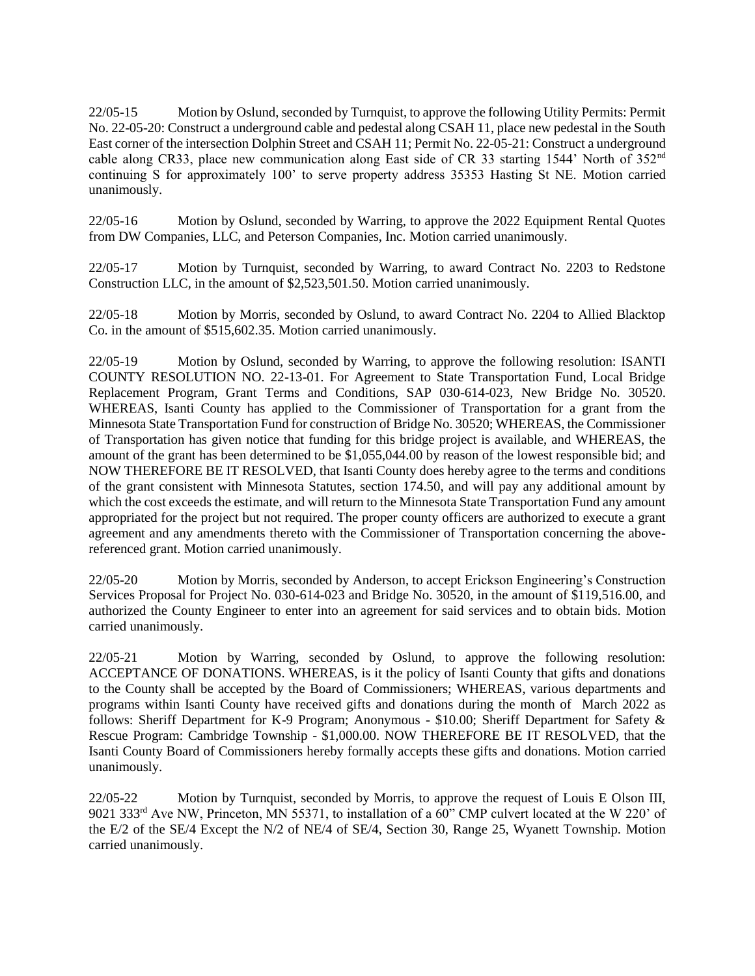22/05-15 Motion by Oslund, seconded by Turnquist, to approve the following Utility Permits: Permit No. 22-05-20: Construct a underground cable and pedestal along CSAH 11, place new pedestal in the South East corner of the intersection Dolphin Street and CSAH 11; Permit No. 22-05-21: Construct a underground cable along CR33, place new communication along East side of CR 33 starting 1544' North of 352<sup>nd</sup> continuing S for approximately 100' to serve property address 35353 Hasting St NE. Motion carried unanimously.

22/05-16 Motion by Oslund, seconded by Warring, to approve the 2022 Equipment Rental Quotes from DW Companies, LLC, and Peterson Companies, Inc. Motion carried unanimously.

22/05-17 Motion by Turnquist, seconded by Warring, to award Contract No. 2203 to Redstone Construction LLC, in the amount of \$2,523,501.50. Motion carried unanimously.

22/05-18 Motion by Morris, seconded by Oslund, to award Contract No. 2204 to Allied Blacktop Co. in the amount of \$515,602.35. Motion carried unanimously.

22/05-19 Motion by Oslund, seconded by Warring, to approve the following resolution: ISANTI COUNTY RESOLUTION NO. 22-13-01. For Agreement to State Transportation Fund, Local Bridge Replacement Program, Grant Terms and Conditions, SAP 030-614-023, New Bridge No. 30520. WHEREAS, Isanti County has applied to the Commissioner of Transportation for a grant from the Minnesota State Transportation Fund for construction of Bridge No. 30520; WHEREAS, the Commissioner of Transportation has given notice that funding for this bridge project is available, and WHEREAS, the amount of the grant has been determined to be \$1,055,044.00 by reason of the lowest responsible bid; and NOW THEREFORE BE IT RESOLVED, that Isanti County does hereby agree to the terms and conditions of the grant consistent with Minnesota Statutes, section 174.50, and will pay any additional amount by which the cost exceeds the estimate, and will return to the Minnesota State Transportation Fund any amount appropriated for the project but not required. The proper county officers are authorized to execute a grant agreement and any amendments thereto with the Commissioner of Transportation concerning the abovereferenced grant. Motion carried unanimously.

22/05-20 Motion by Morris, seconded by Anderson, to accept Erickson Engineering's Construction Services Proposal for Project No. 030-614-023 and Bridge No. 30520, in the amount of \$119,516.00, and authorized the County Engineer to enter into an agreement for said services and to obtain bids. Motion carried unanimously.

22/05-21 Motion by Warring, seconded by Oslund, to approve the following resolution: ACCEPTANCE OF DONATIONS. WHEREAS, is it the policy of Isanti County that gifts and donations to the County shall be accepted by the Board of Commissioners; WHEREAS, various departments and programs within Isanti County have received gifts and donations during the month of March 2022 as follows: Sheriff Department for K-9 Program; Anonymous - \$10.00; Sheriff Department for Safety & Rescue Program: Cambridge Township - \$1,000.00. NOW THEREFORE BE IT RESOLVED, that the Isanti County Board of Commissioners hereby formally accepts these gifts and donations. Motion carried unanimously.

22/05-22 Motion by Turnquist, seconded by Morris, to approve the request of Louis E Olson III, 9021 333rd Ave NW, Princeton, MN 55371, to installation of a 60" CMP culvert located at the W 220' of the E/2 of the SE/4 Except the N/2 of NE/4 of SE/4, Section 30, Range 25, Wyanett Township. Motion carried unanimously.